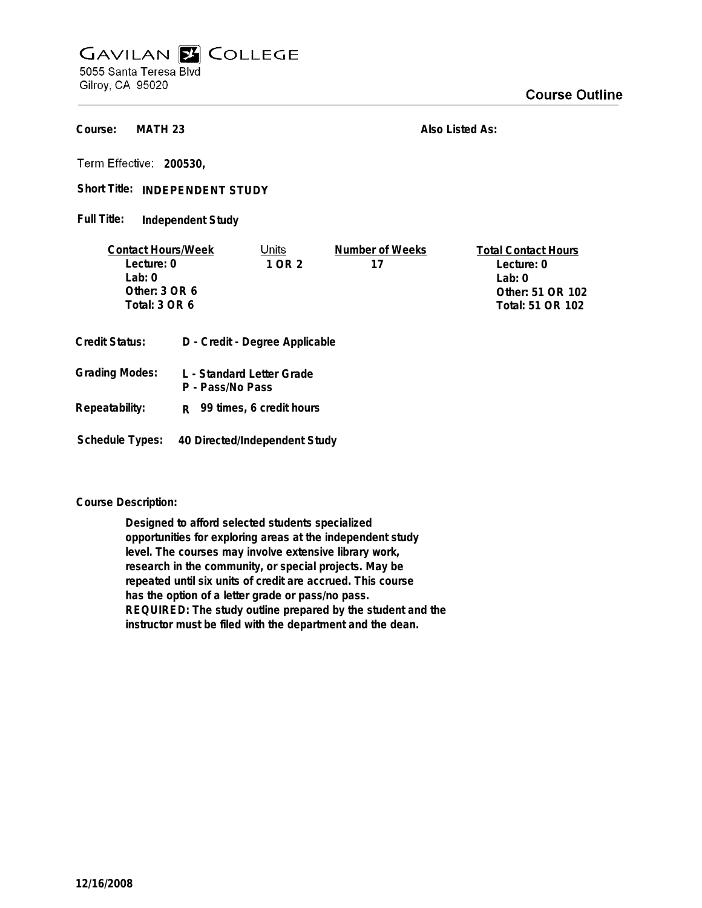## **GAVILAN E COLLEGE** 5055 Santa Teresa Blvd

Gilroy, CA 95020

**MATH 23 Course:**

**Also Listed As:**

**200530,**

Short Title: INDEPENDENT STUDY

**Independent Study Full Title:**

| <b>Contact Hours/Week</b> |                                | Units                     | Number of Weeks  | <b>Total Contact Hours</b> |
|---------------------------|--------------------------------|---------------------------|------------------|----------------------------|
| Lecture: 0                |                                | 1 OR 2                    | 17               | Lecture: 0                 |
| Lab:0                     |                                |                           |                  | Lab: $0$                   |
| Other: $3$ OR $6$         |                                |                           |                  | Other: 51 OR 102           |
| Total: 3 OR 6             |                                |                           | Total: 51 OR 102 |                            |
| <b>Credit Status:</b>     | D - Credit - Degree Applicable |                           |                  |                            |
| <b>Grading Modes:</b>     |                                | L - Standard Letter Grade |                  |                            |

- **P Pass/No Pass Repeatability: R 99 times, 6 credit hours**
- **Schedule Types: 40 Directed/Independent Study**

## **Course Description:**

**Designed to afford selected students specialized opportunities for exploring areas at the independent study level. The courses may involve extensive library work, research in the community, or special projects. May be repeated until six units of credit are accrued. This course has the option of a letter grade or pass/no pass. REQUIRED: The study outline prepared by the student and the instructor must be filed with the department and the dean.**